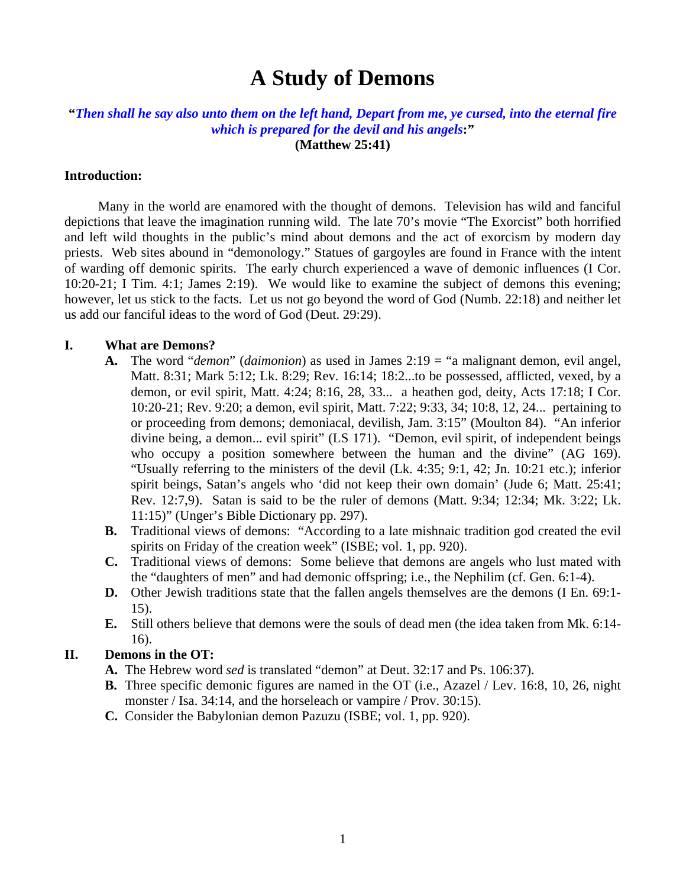# **A Study of Demons**

## **"***Then shall he say also unto them on the left hand, Depart from me, ye cursed, into the eternal fire which is prepared for the devil and his angels***:"**

**(Matthew 25:41)** 

#### **Introduction:**

Many in the world are enamored with the thought of demons. Television has wild and fanciful depictions that leave the imagination running wild. The late 70's movie "The Exorcist" both horrified and left wild thoughts in the public's mind about demons and the act of exorcism by modern day priests. Web sites abound in "demonology." Statues of gargoyles are found in France with the intent of warding off demonic spirits. The early church experienced a wave of demonic influences (I Cor. 10:20-21; I Tim. 4:1; James 2:19). We would like to examine the subject of demons this evening; however, let us stick to the facts. Let us not go beyond the word of God (Numb. 22:18) and neither let us add our fanciful ideas to the word of God (Deut. 29:29).

#### **I. What are Demons?**

- **A.** The word "*demon*" (*daimonion*) as used in James 2:19 = "a malignant demon, evil angel, Matt. 8:31; Mark 5:12; Lk. 8:29; Rev. 16:14; 18:2...to be possessed, afflicted, vexed, by a demon, or evil spirit, Matt. 4:24; 8:16, 28, 33... a heathen god, deity, Acts 17:18; I Cor. 10:20-21; Rev. 9:20; a demon, evil spirit, Matt. 7:22; 9:33, 34; 10:8, 12, 24... pertaining to or proceeding from demons; demoniacal, devilish, Jam. 3:15" (Moulton 84). "An inferior divine being, a demon... evil spirit" (LS 171). "Demon, evil spirit, of independent beings who occupy a position somewhere between the human and the divine" (AG 169). "Usually referring to the ministers of the devil  $(Lk. 4:35; 9:1, 42; Jn. 10:21$  etc.); inferior spirit beings, Satan's angels who 'did not keep their own domain' (Jude 6; Matt. 25:41; Rev. 12:7,9). Satan is said to be the ruler of demons (Matt. 9:34; 12:34; Mk. 3:22; Lk. 11:15)" (Unger's Bible Dictionary pp. 297).
- **B.** Traditional views of demons: "According to a late mishnaic tradition god created the evil spirits on Friday of the creation week" (ISBE; vol. 1, pp. 920).
- **C.** Traditional views of demons: Some believe that demons are angels who lust mated with the "daughters of men" and had demonic offspring; i.e., the Nephilim (cf. Gen. 6:1-4).
- **D.** Other Jewish traditions state that the fallen angels themselves are the demons (I En. 69:1-15).
- **E.** Still others believe that demons were the souls of dead men (the idea taken from Mk. 6:14- 16).

#### **II. Demons in the OT:**

- **A.** The Hebrew word *sed* is translated "demon" at Deut. 32:17 and Ps. 106:37).
- **B.** Three specific demonic figures are named in the OT (i.e., Azazel / Lev. 16:8, 10, 26, night monster / Isa. 34:14, and the horseleach or vampire / Prov. 30:15).
- **C.** Consider the Babylonian demon Pazuzu (ISBE; vol. 1, pp. 920).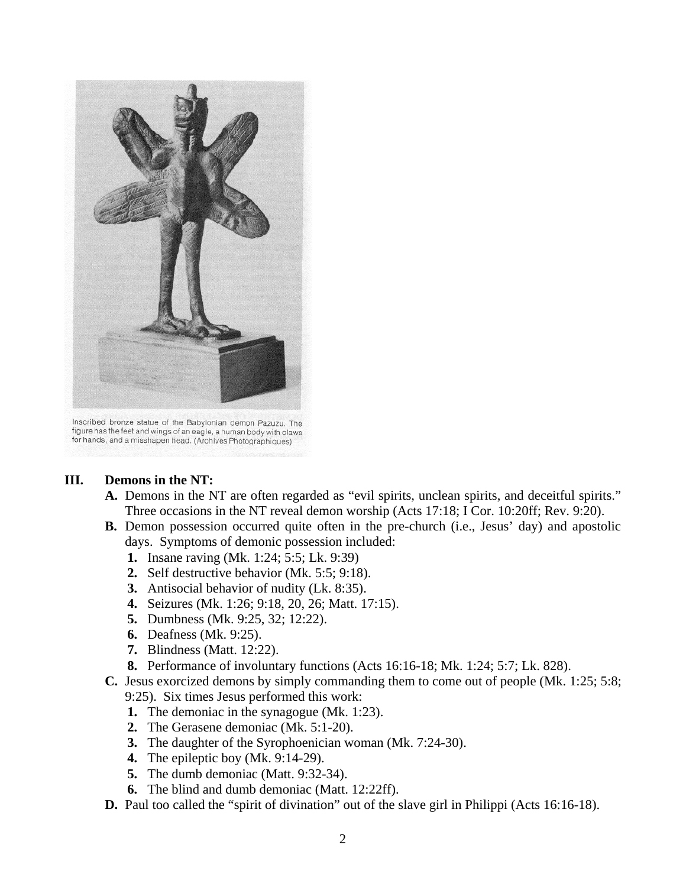

Inscribed bronze statue of the Babylonian demon Pazuzu. The figure has the feet and wings of an eagle, a human body with claws for hands, and a misshapen head. (Archives Photographiques)

#### **III. Demons in the NT:**

- **A.** Demons in the NT are often regarded as "evil spirits, unclean spirits, and deceitful spirits." Three occasions in the NT reveal demon worship (Acts 17:18; I Cor. 10:20ff; Rev. 9:20).
- **B.** Demon possession occurred quite often in the pre-church (i.e., Jesus' day) and apostolic days. Symptoms of demonic possession included:
	- **1.** Insane raving (Mk. 1:24; 5:5; Lk. 9:39)
	- **2.** Self destructive behavior (Mk. 5:5; 9:18).
	- **3.** Antisocial behavior of nudity (Lk. 8:35).
	- **4.** Seizures (Mk. 1:26; 9:18, 20, 26; Matt. 17:15).
	- **5.** Dumbness (Mk. 9:25, 32; 12:22).
	- **6.** Deafness (Mk. 9:25).
	- **7.** Blindness (Matt. 12:22).
	- **8.** Performance of involuntary functions (Acts 16:16-18; Mk. 1:24; 5:7; Lk. 828).
- **C.** Jesus exorcized demons by simply commanding them to come out of people (Mk. 1:25; 5:8; 9:25). Six times Jesus performed this work:
	- **1.** The demoniac in the synagogue (Mk. 1:23).
	- **2.** The Gerasene demoniac (Mk. 5:1-20).
	- **3.** The daughter of the Syrophoenician woman (Mk. 7:24-30).
	- **4.** The epileptic boy (Mk. 9:14-29).
	- **5.** The dumb demoniac (Matt. 9:32-34).
	- **6.** The blind and dumb demoniac (Matt. 12:22ff).
- **D.** Paul too called the "spirit of divination" out of the slave girl in Philippi (Acts 16:16-18).